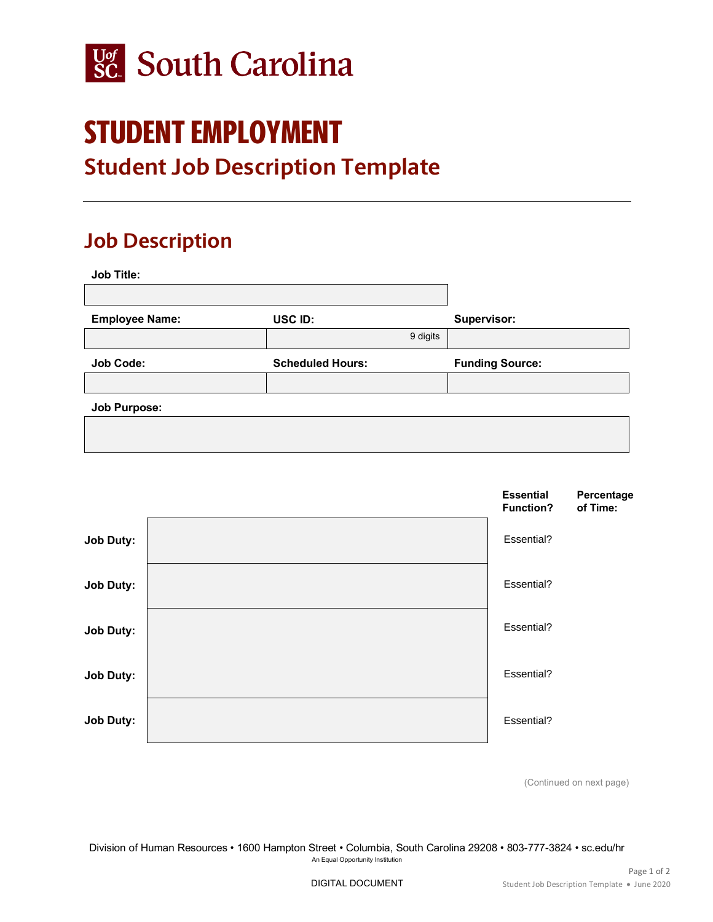

## STUDENT EMPLOYMENT

## **Student Job Description Template**

## **Job Description**

| <b>Job Title:</b>     |                         |                        |
|-----------------------|-------------------------|------------------------|
|                       |                         |                        |
| <b>Employee Name:</b> | USC ID:                 | Supervisor:            |
|                       | 9 digits                |                        |
|                       |                         |                        |
| <b>Job Code:</b>      | <b>Scheduled Hours:</b> | <b>Funding Source:</b> |
|                       |                         |                        |
| <b>Job Purpose:</b>   |                         |                        |



(Continued on next page)

Division of Human Resources • 1600 Hampton Street • Columbia, South Carolina 29208 • 803-777-3824 • sc.edu/hr An Equal Opportunity Institution